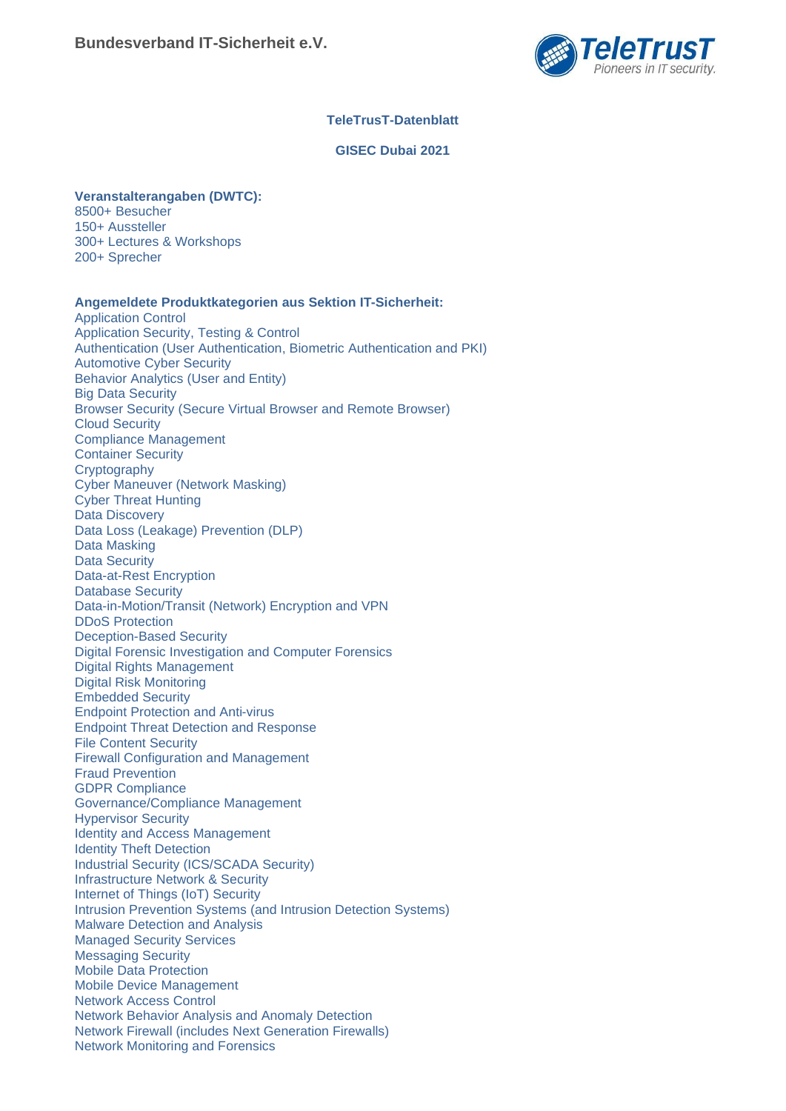

## **TeleTrusT-Datenblatt**

### **GISEC Dubai 2021**

## **Veranstalterangaben (DWTC):**

8500+ Besucher 150+ Aussteller 300+ Lectures & Workshops 200+ Sprecher

### **Angemeldete Produktkategorien aus Sektion IT-Sicherheit:**

Application Control Application Security, Testing & Control Authentication (User Authentication, Biometric Authentication and PKI) Automotive Cyber Security Behavior Analytics (User and Entity) Big Data Security Browser Security (Secure Virtual Browser and Remote Browser) Cloud Security Compliance Management Container Security **Cryptography** Cyber Maneuver (Network Masking) Cyber Threat Hunting Data Discovery Data Loss (Leakage) Prevention (DLP) Data Masking Data Security Data-at-Rest Encryption Database Security Data-in-Motion/Transit (Network) Encryption and VPN DDoS Protection Deception-Based Security Digital Forensic Investigation and Computer Forensics Digital Rights Management Digital Risk Monitoring Embedded Security Endpoint Protection and Anti-virus Endpoint Threat Detection and Response File Content Security Firewall Configuration and Management Fraud Prevention GDPR Compliance Governance/Compliance Management Hypervisor Security Identity and Access Management Identity Theft Detection Industrial Security (ICS/SCADA Security) Infrastructure Network & Security Internet of Things (IoT) Security Intrusion Prevention Systems (and Intrusion Detection Systems) Malware Detection and Analysis Managed Security Services Messaging Security Mobile Data Protection Mobile Device Management Network Access Control Network Behavior Analysis and Anomaly Detection Network Firewall (includes Next Generation Firewalls) Network Monitoring and Forensics